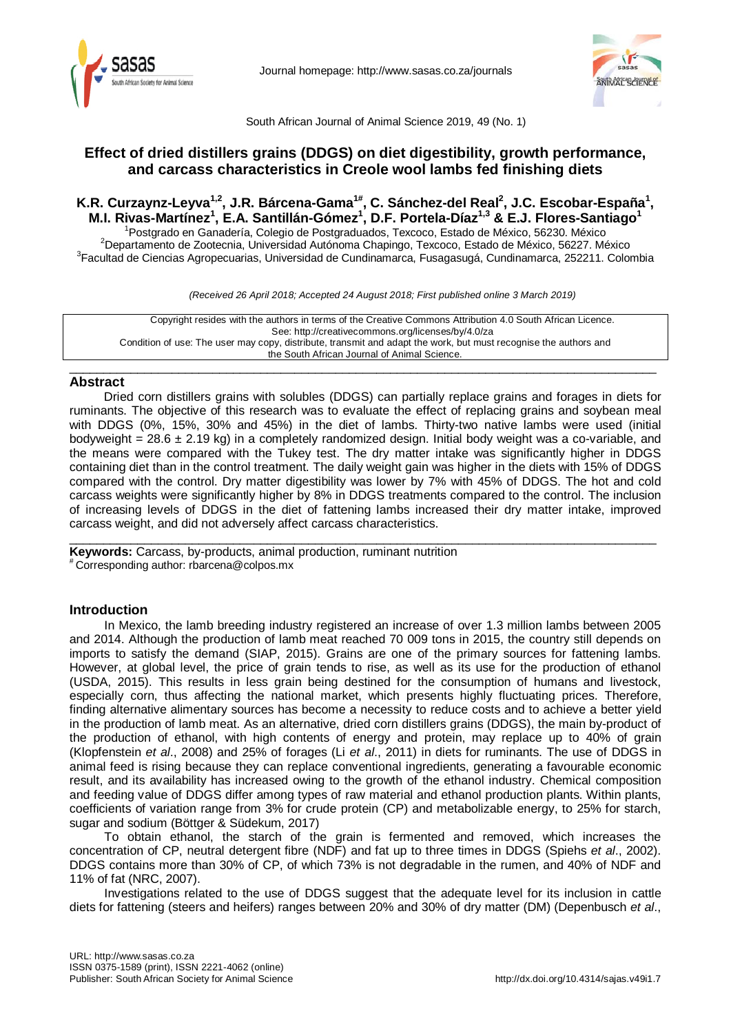

Journal homepage:<http://www.sasas.co.za/journals>



South African Journal of Animal Science 2019, 49 (No. 1)

# **Effect of dried distillers grains (DDGS) on diet digestibility, growth performance, and carcass characteristics in Creole wool lambs fed finishing diets**

# K.R. Curzaynz-Leyva<sup>1,2</sup>, J.R. Bárcena-Gama<sup>1#</sup>, C. Sánchez-del Real<sup>2</sup>, J.C. Escobar-España<sup>1</sup>, **M.I. Rivas-Martínez<sup>1</sup> , E.A. Santillán-Gómez1 , D.F. Portela-Díaz1,3 & E.J. Flores-Santiago1**

<sup>1</sup> Postgrado en Ganadería, Colegio de Postgraduados, Texcoco, Estado de México, 56230. México<br><sup>2</sup> Penertemente de Zecteoria, Universidad Auténema Chapingo, Texcoco, Estado de México, 56237. M Departamento de Zootecnia, Universidad Autónoma Chapingo, Texcoco, Estado de México, 56227. México <sup>3</sup> <sup>3</sup> Facultad de Ciencias Agropecuarias, Universidad de Cundinamarca, Fusagasugá, Cundinamarca, 252211. Colombia

*(Received 26 April 2018; Accepted 24 August 2018; First published online 3 March 2019)*

Copyright resides with the authors in terms of the Creative Commons Attribution 4.0 South African Licence. See: http://creativecommons.org/licenses/by/4.0/za Condition of use: The user may copy, distribute, transmit and adapt the work, but must recognise the authors and the South African Journal of Animal Science.

## $\_$  ,  $\_$  ,  $\_$  ,  $\_$  ,  $\_$  ,  $\_$  ,  $\_$  ,  $\_$  ,  $\_$  ,  $\_$  ,  $\_$  ,  $\_$  ,  $\_$  ,  $\_$  ,  $\_$  ,  $\_$  ,  $\_$  ,  $\_$  ,  $\_$  ,  $\_$  ,  $\_$  ,  $\_$  ,  $\_$  ,  $\_$  ,  $\_$  ,  $\_$  ,  $\_$  ,  $\_$  ,  $\_$  ,  $\_$  ,  $\_$  ,  $\_$  ,  $\_$  ,  $\_$  ,  $\_$  ,  $\_$  ,  $\_$  , **Abstract**

Dried corn distillers grains with solubles (DDGS) can partially replace grains and forages in diets for ruminants. The objective of this research was to evaluate the effect of replacing grains and soybean meal with DDGS (0%, 15%, 30% and 45%) in the diet of lambs. Thirty-two native lambs were used (initial bodyweight =  $28.6 \pm 2.19$  kg) in a completely randomized design. Initial body weight was a co-variable, and the means were compared with the Tukey test. The dry matter intake was significantly higher in DDGS containing diet than in the control treatment. The daily weight gain was higher in the diets with 15% of DDGS compared with the control. Dry matter digestibility was lower by 7% with 45% of DDGS. The hot and cold carcass weights were significantly higher by 8% in DDGS treatments compared to the control. The inclusion of increasing levels of DDGS in the diet of fattening lambs increased their dry matter intake, improved carcass weight, and did not adversely affect carcass characteristics.

 $\_$  , and the set of the set of the set of the set of the set of the set of the set of the set of the set of the set of the set of the set of the set of the set of the set of the set of the set of the set of the set of th **Keywords:** Carcass, by-products, animal production, ruminant nutrition # Corresponding author: rbarcena@colpos.mx

## **Introduction**

In Mexico, the lamb breeding industry registered an increase of over 1.3 million lambs between 2005 and 2014. Although the production of lamb meat reached 70 009 tons in 2015, the country still depends on imports to satisfy the demand (SIAP, 2015). Grains are one of the primary sources for fattening lambs. However, at global level, the price of grain tends to rise, as well as its use for the production of ethanol (USDA, 2015). This results in less grain being destined for the consumption of humans and livestock, especially corn, thus affecting the national market, which presents highly fluctuating prices. Therefore, finding alternative alimentary sources has become a necessity to reduce costs and to achieve a better yield in the production of lamb meat. As an alternative, dried corn distillers grains (DDGS), the main by-product of the production of ethanol, with high contents of energy and protein, may replace up to 40% of grain (Klopfenstein *et al*., 2008) and 25% of forages (Li *et al*., 2011) in diets for ruminants. The use of DDGS in animal feed is rising because they can replace conventional ingredients, generating a favourable economic result, and its availability has increased owing to the growth of the ethanol industry. Chemical composition and feeding value of DDGS differ among types of raw material and ethanol production plants. Within plants, coefficients of variation range from 3% for crude protein (CP) and metabolizable energy, to 25% for starch, sugar and sodium (Böttger & Südekum, 2017)

To obtain ethanol, the starch of the grain is fermented and removed, which increases the concentration of CP, neutral detergent fibre (NDF) and fat up to three times in DDGS (Spiehs *et al*., 2002). DDGS contains more than 30% of CP, of which 73% is not degradable in the rumen, and 40% of NDF and 11% of fat (NRC, 2007).

Investigations related to the use of DDGS suggest that the adequate level for its inclusion in cattle diets for fattening (steers and heifers) ranges between 20% and 30% of dry matter (DM) (Depenbusch *et al*.,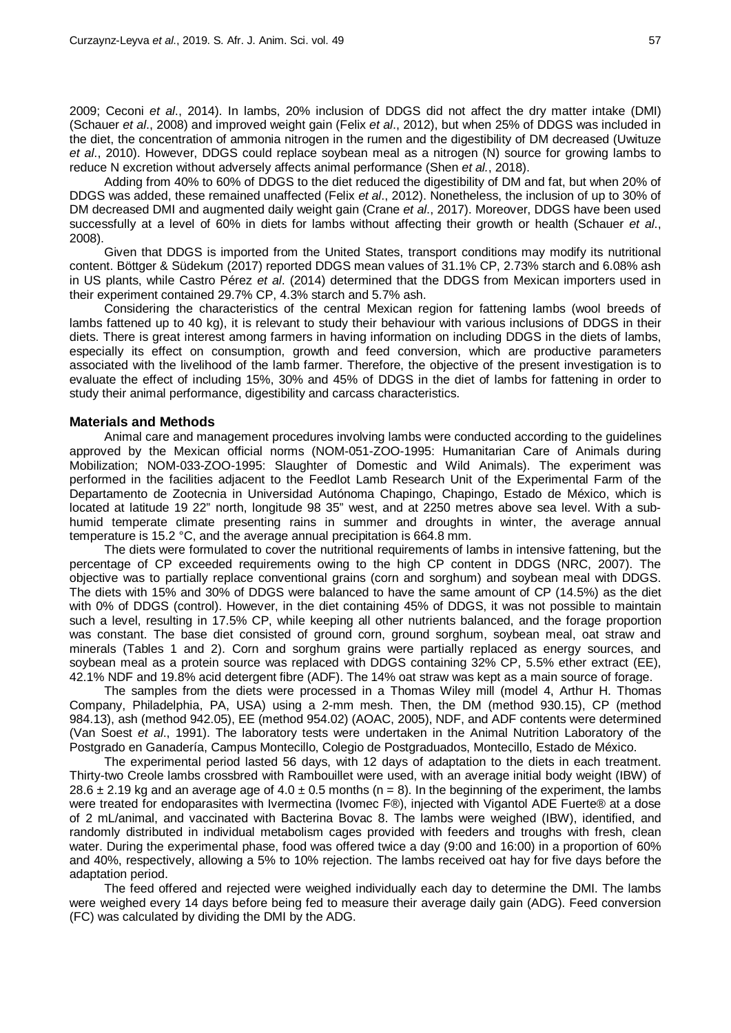2009; Ceconi *et al*., 2014). In lambs, 20% inclusion of DDGS did not affect the dry matter intake (DMI) (Schauer *et al*., 2008) and improved weight gain (Felix *et al*., 2012), but when 25% of DDGS was included in the diet, the concentration of ammonia nitrogen in the rumen and the digestibility of DM decreased (Uwituze *et al*., 2010). However, DDGS could replace soybean meal as a nitrogen (N) source for growing lambs to reduce N excretion without adversely affects animal performance (Shen *et al.*, 2018).

Adding from 40% to 60% of DDGS to the diet reduced the digestibility of DM and fat, but when 20% of DDGS was added, these remained unaffected (Felix *et al*., 2012). Nonetheless, the inclusion of up to 30% of DM decreased DMI and augmented daily weight gain (Crane *et al*., 2017). Moreover, DDGS have been used successfully at a level of 60% in diets for lambs without affecting their growth or health (Schauer *et al*., 2008).

Given that DDGS is imported from the United States, transport conditions may modify its nutritional content. Böttger & Südekum (2017) reported DDGS mean values of 31.1% CP, 2.73% starch and 6.08% ash in US plants, while Castro Pérez *et al*. (2014) determined that the DDGS from Mexican importers used in their experiment contained 29.7% CP, 4.3% starch and 5.7% ash.

Considering the characteristics of the central Mexican region for fattening lambs (wool breeds of lambs fattened up to 40 kg), it is relevant to study their behaviour with various inclusions of DDGS in their diets. There is great interest among farmers in having information on including DDGS in the diets of lambs, especially its effect on consumption, growth and feed conversion, which are productive parameters associated with the livelihood of the lamb farmer. Therefore, the objective of the present investigation is to evaluate the effect of including 15%, 30% and 45% of DDGS in the diet of lambs for fattening in order to study their animal performance, digestibility and carcass characteristics.

### **Materials and Methods**

Animal care and management procedures involving lambs were conducted according to the guidelines approved by the Mexican official norms (NOM-051-ZOO-1995: Humanitarian Care of Animals during Mobilization; NOM-033-ZOO-1995: Slaughter of Domestic and Wild Animals). The experiment was performed in the facilities adjacent to the Feedlot Lamb Research Unit of the Experimental Farm of the Departamento de Zootecnia in Universidad Autónoma Chapingo, Chapingo, Estado de México, which is located at latitude 19 22" north, longitude 98 35" west, and at 2250 metres above sea level. With a subhumid temperate climate presenting rains in summer and droughts in winter, the average annual temperature is 15.2 °C, and the average annual precipitation is 664.8 mm.

The diets were formulated to cover the nutritional requirements of lambs in intensive fattening, but the percentage of CP exceeded requirements owing to the high CP content in DDGS (NRC, 2007). The objective was to partially replace conventional grains (corn and sorghum) and soybean meal with DDGS. The diets with 15% and 30% of DDGS were balanced to have the same amount of CP (14.5%) as the diet with 0% of DDGS (control). However, in the diet containing 45% of DDGS, it was not possible to maintain such a level, resulting in 17.5% CP, while keeping all other nutrients balanced, and the forage proportion was constant. The base diet consisted of ground corn, ground sorghum, soybean meal, oat straw and minerals (Tables 1 and 2). Corn and sorghum grains were partially replaced as energy sources, and soybean meal as a protein source was replaced with DDGS containing 32% CP, 5.5% ether extract (EE), 42.1% NDF and 19.8% acid detergent fibre (ADF). The 14% oat straw was kept as a main source of forage.

The samples from the diets were processed in a Thomas Wiley mill (model 4, Arthur H. Thomas Company, Philadelphia, PA, USA) using a 2-mm mesh. Then, the DM (method 930.15), CP (method 984.13), ash (method 942.05), EE (method 954.02) (AOAC, 2005), NDF, and ADF contents were determined (Van Soest *et al*., 1991). The laboratory tests were undertaken in the Animal Nutrition Laboratory of the Postgrado en Ganadería, Campus Montecillo, Colegio de Postgraduados, Montecillo, Estado de México.

The experimental period lasted 56 days, with 12 days of adaptation to the diets in each treatment. Thirty-two Creole lambs crossbred with Rambouillet were used, with an average initial body weight (IBW) of 28.6  $\pm$  2.19 kg and an average age of 4.0  $\pm$  0.5 months (n = 8). In the beginning of the experiment, the lambs were treated for endoparasites with Ivermectina (Ivomec F®), injected with Vigantol ADE Fuerte® at a dose of 2 mL/animal, and vaccinated with Bacterina Bovac 8. The lambs were weighed (IBW), identified, and randomly distributed in individual metabolism cages provided with feeders and troughs with fresh, clean water. During the experimental phase, food was offered twice a day (9:00 and 16:00) in a proportion of 60% and 40%, respectively, allowing a 5% to 10% rejection. The lambs received oat hay for five days before the adaptation period.

The feed offered and rejected were weighed individually each day to determine the DMI. The lambs were weighed every 14 days before being fed to measure their average daily gain (ADG). Feed conversion (FC) was calculated by dividing the DMI by the ADG.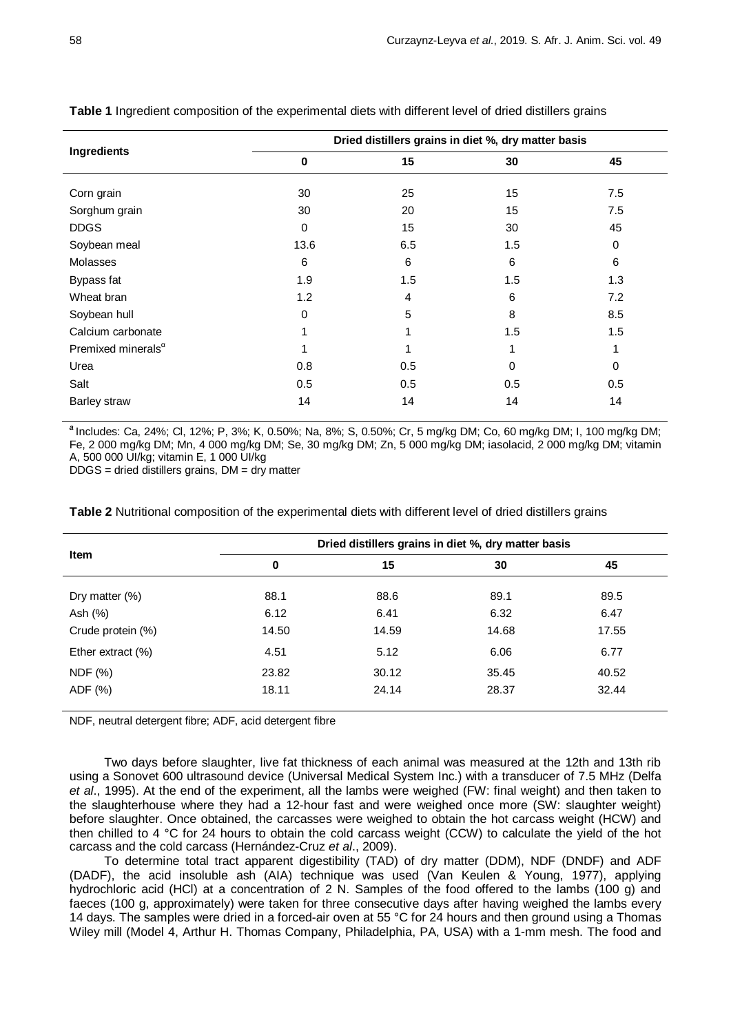| Ingredients                   | Dried distillers grains in diet %, dry matter basis |     |          |             |  |  |
|-------------------------------|-----------------------------------------------------|-----|----------|-------------|--|--|
|                               | $\mathbf 0$                                         | 15  | 30       | 45          |  |  |
| Corn grain                    | 30                                                  | 25  | 15       | 7.5         |  |  |
| Sorghum grain                 | 30                                                  | 20  | 15       | 7.5         |  |  |
| <b>DDGS</b>                   | $\Omega$                                            | 15  | 30       | 45          |  |  |
| Soybean meal                  | 13.6                                                | 6.5 | 1.5      | 0           |  |  |
| <b>Molasses</b>               | 6                                                   | 6   | 6        | $\,6$       |  |  |
| Bypass fat                    | 1.9                                                 | 1.5 | 1.5      | 1.3         |  |  |
| Wheat bran                    | 1.2                                                 | 4   | 6        | 7.2         |  |  |
| Soybean hull                  | $\Omega$                                            | 5   | 8        | 8.5         |  |  |
| Calcium carbonate             |                                                     | 1   | 1.5      | 1.5         |  |  |
| Premixed minerals $^{\alpha}$ |                                                     |     |          | 1           |  |  |
| Urea                          | 0.8                                                 | 0.5 | $\Omega$ | $\mathbf 0$ |  |  |
| Salt                          | 0.5                                                 | 0.5 | 0.5      | 0.5         |  |  |
| Barley straw                  | 14                                                  | 14  | 14       | 14          |  |  |

**Table 1** Ingredient composition of the experimental diets with different level of dried distillers grains

*<sup>a</sup>*Includes: Ca, 24%; Cl, 12%; P, 3%; K, 0.50%; Na, 8%; S, 0.50%; Cr, 5 mg/kg DM; Co, 60 mg/kg DM; I, 100 mg/kg DM; Fe, 2 000 mg/kg DM; Mn, 4 000 mg/kg DM; Se, 30 mg/kg DM; Zn, 5 000 mg/kg DM; iasolacid, 2 000 mg/kg DM; vitamin A, 500 000 UI/kg; vitamin E, 1 000 UI/kg

 $DDGS =$  dried distillers grains,  $DM =$  dry matter

**Table 2** Nutritional composition of the experimental diets with different level of dried distillers grains

| Item                 | Dried distillers grains in diet %, dry matter basis |       |       |       |  |
|----------------------|-----------------------------------------------------|-------|-------|-------|--|
|                      | $\bf{0}$                                            | 15    | 30    | 45    |  |
| Dry matter $(\%)$    | 88.1                                                | 88.6  | 89.1  | 89.5  |  |
| Ash (%)              | 6.12                                                | 6.41  | 6.32  | 6.47  |  |
| Crude protein (%)    | 14.50                                               | 14.59 | 14.68 | 17.55 |  |
| Ether extract $(\%)$ | 4.51                                                | 5.12  | 6.06  | 6.77  |  |
| NDF (%)              | 23.82                                               | 30.12 | 35.45 | 40.52 |  |
| ADF (%)              | 18.11                                               | 24.14 | 28.37 | 32.44 |  |

NDF, neutral detergent fibre; ADF, acid detergent fibre

Two days before slaughter, live fat thickness of each animal was measured at the 12th and 13th rib using a Sonovet 600 ultrasound device (Universal Medical System Inc.) with a transducer of 7.5 MHz (Delfa *et al*., 1995). At the end of the experiment, all the lambs were weighed (FW: final weight) and then taken to the slaughterhouse where they had a 12-hour fast and were weighed once more (SW: slaughter weight) before slaughter. Once obtained, the carcasses were weighed to obtain the hot carcass weight (HCW) and then chilled to 4 °C for 24 hours to obtain the cold carcass weight (CCW) to calculate the yield of the hot carcass and the cold carcass (Hernández-Cruz *et al*., 2009).

To determine total tract apparent digestibility (TAD) of dry matter (DDM), NDF (DNDF) and ADF (DADF), the acid insoluble ash (AIA) technique was used (Van Keulen & Young, 1977), applying [hydrochloric acid](https://www.linguee.com/english-spanish/translation/hydrochloric+acid.html) (HCl) at a concentration of 2 N. Samples of the food offered to the lambs (100 g) and faeces (100 g, approximately) were taken for three consecutive days after having weighed the lambs every 14 days. The samples were dried in a forced-air oven at 55 °C for 24 hours and then ground using a Thomas Wiley mill (Model 4, Arthur H. Thomas Company, Philadelphia, PA, USA) with a 1-mm mesh. The food and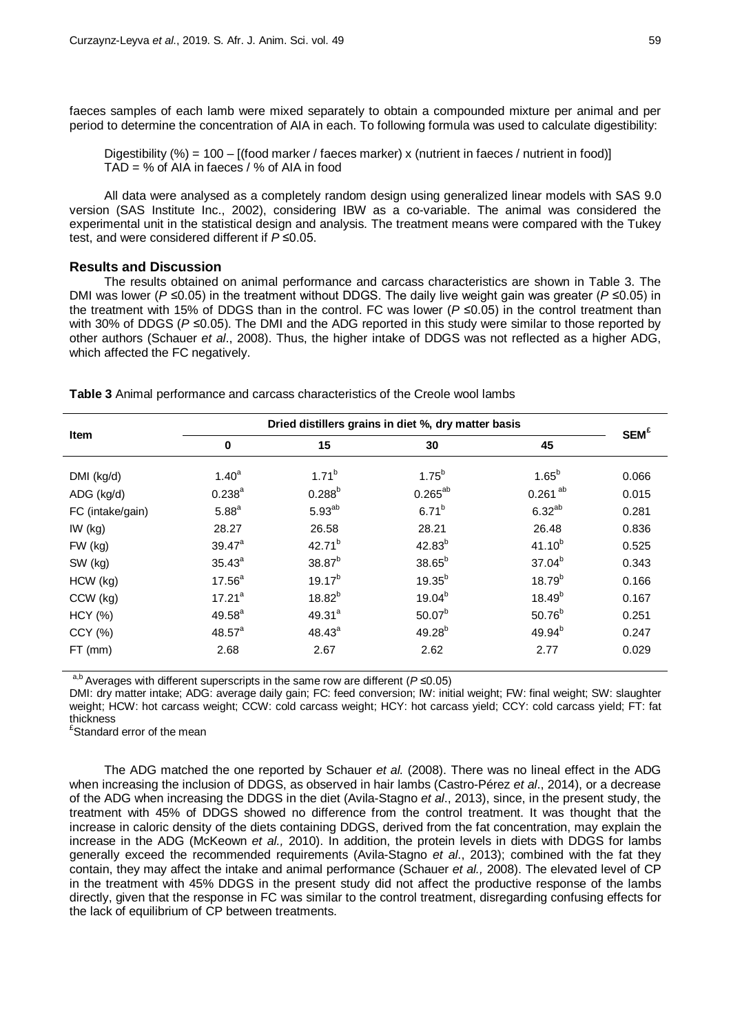faeces samples of each lamb were mixed separately to obtain a compounded mixture per animal and per period to determine the concentration of AIA in each. To following formula was used to calculate digestibility:

Digestibility (%) = 100 – [(food marker / faeces marker) x (nutrient in faeces / nutrient in food)]  $TAD = % of AIA in faces / % of AIA in food$ 

All data were analysed as a completely random design using generalized linear models with SAS 9.0 version (SAS Institute Inc., 2002), considering IBW as a co-variable. The animal was considered the experimental unit in the statistical design and analysis. The treatment means were compared with the Tukey test, and were considered different if *P* ≤0.05.

## **Results and Discussion**

The results obtained on animal performance and carcass characteristics are shown in Table 3. The DMI was lower (*P* ≤0.05) in the treatment without DDGS. The daily live weight gain was greater (*P* ≤0.05) in the treatment with 15% of DDGS than in the control. FC was lower ( $P \le 0.05$ ) in the control treatment than with 30% of DDGS ( $P \le 0.05$ ). The DMI and the ADG reported in this study were similar to those reported by other authors (Schauer *et al*., 2008). Thus, the higher intake of DDGS was not reflected as a higher ADG, which affected the FC negatively.

**Table 3** Animal performance and carcass characteristics of the Creole wool lambs

| Item             | Dried distillers grains in diet %, dry matter basis |                    |              |                       | <b>SEM<sup>£</sup></b> |
|------------------|-----------------------------------------------------|--------------------|--------------|-----------------------|------------------------|
|                  | $\bf{0}$                                            | 15                 | 30           | 45                    |                        |
| DMI (kg/d)       | 1.40 <sup>a</sup>                                   | $1.71^{b}$         | $1.75^{b}$   | $1.65^{b}$            | 0.066                  |
| ADG (kg/d)       | $0.238^{a}$                                         | $0.288^{b}$        | $0.265^{ab}$ | $0.261$ <sup>ab</sup> | 0.015                  |
| FC (intake/gain) | 5.88 <sup>a</sup>                                   | $5.93^{ab}$        | $6.71^{b}$   | $6.32^{ab}$           | 0.281                  |
| IW $(kg)$        | 28.27                                               | 26.58              | 28.21        | 26.48                 | 0.836                  |
| FW (kg)          | $39.47^a$                                           | $42.71^{b}$        | $42.83^{b}$  | $41.10^{b}$           | 0.525                  |
| SW (kg)          | $35.43^{a}$                                         | 38.87 <sup>b</sup> | $38.65^{b}$  | $37.04^{b}$           | 0.343                  |
| HCW (kg)         | $17.56^{a}$                                         | $19.17^{b}$        | $19.35^{b}$  | $18.79^{b}$           | 0.166                  |
| CCW (kg)         | $17.21^a$                                           | $18.82^{b}$        | $19.04^{b}$  | $18.49^{b}$           | 0.167                  |
| <b>HCY</b> (%)   | $49.58^{a}$                                         | $49.31^{a}$        | $50.07^{b}$  | $50.76^{b}$           | 0.251                  |
| $CCY$ $(\%)$     | $48.57^{\circ}$                                     | $48.43^{a}$        | $49.28^{b}$  | $49.94^{b}$           | 0.247                  |
| $FT$ (mm)        | 2.68                                                | 2.67               | 2.62         | 2.77                  | 0.029                  |

a,b Averages with different superscripts in the same row are different (*P* ≤0.05)

DMI: dry matter intake; ADG: average daily gain; FC: feed conversion; IW: initial weight; FW: final weight; SW: slaughter weight; HCW: hot carcass weight; CCW: cold carcass weight; HCY: hot carcass yield; CCY: cold carcass yield; FT: fat thickness

£ Standard error of the mean

The ADG matched the one reported by Schauer *et al.* (2008). There was no lineal effect in the ADG when increasing the inclusion of DDGS, as observed in hair lambs (Castro-Pérez *et al*., 2014), or a decrease of the ADG when increasing the DDGS in the diet (Avila-Stagno *et al*., 2013), since, in the present study, the treatment with 45% of DDGS showed no difference from the control treatment. It was thought that the increase in caloric density of the diets containing DDGS, derived from the fat concentration, may explain the increase in the ADG (McKeown *et al.,* 2010). In addition, the protein levels in diets with DDGS for lambs generally exceed the recommended requirements (Avila-Stagno *et al*., 2013); combined with the fat they contain, they may affect the intake and animal performance (Schauer *et al.,* 2008). The elevated level of CP in the treatment with 45% DDGS in the present study did not affect the productive response of the lambs directly, given that the response in FC was similar to the control treatment, disregarding confusing effects for the lack of equilibrium of CP between treatments.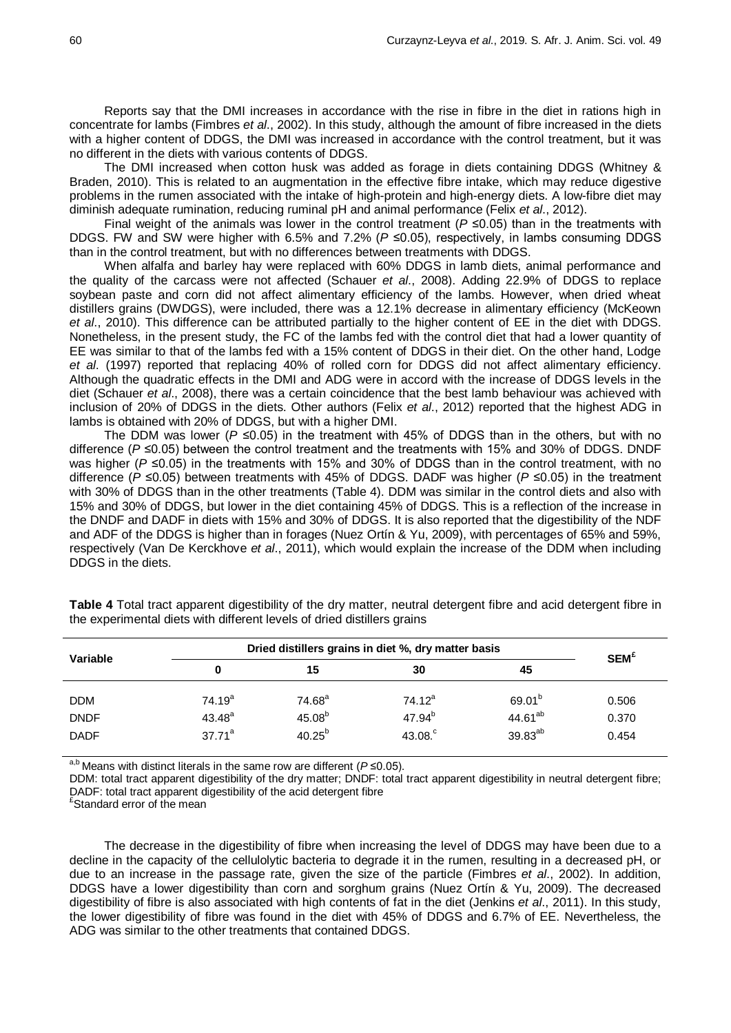Reports say that the DMI increases in accordance with the rise in fibre in the diet in rations high in concentrate for lambs (Fimbres *et al*., 2002). In this study, although the amount of fibre increased in the diets with a higher content of DDGS, the DMI was increased in accordance with the control treatment, but it was no different in the diets with various contents of DDGS.

The DMI increased when cotton husk was added as forage in diets containing DDGS (Whitney & Braden, 2010). This is related to an augmentation in the effective fibre intake, which may reduce digestive problems in the rumen associated with the intake of high-protein and high-energy diets. A low-fibre diet may diminish adequate rumination, reducing ruminal pH and animal performance (Felix *et al*., 2012).

Final weight of the animals was lower in the control treatment ( $P \le 0.05$ ) than in the treatments with DDGS. FW and SW were higher with 6.5% and 7.2% (*P* ≤0.05), respectively, in lambs consuming DDGS than in the control treatment, but with no differences between treatments with DDGS.

When alfalfa and barley hay were replaced with 60% DDGS in lamb diets, animal performance and the quality of the carcass were not affected (Schauer *et al*., 2008). Adding 22.9% of DDGS to replace soybean paste and corn did not affect alimentary efficiency of the lambs. However, when dried wheat distillers grains (DWDGS), were included, there was a 12.1% decrease in alimentary efficiency (McKeown *et al*., 2010). This difference can be attributed partially to the higher content of EE in the diet with DDGS. Nonetheless, in the present study, the FC of the lambs fed with the control diet that had a lower quantity of EE was similar to that of the lambs fed with a 15% content of DDGS in their diet. On the other hand, Lodge *et al*. (1997) reported that replacing 40% of rolled corn for DDGS did not affect alimentary efficiency. Although the quadratic effects in the DMI and ADG were in accord with the increase of DDGS levels in the diet (Schauer *et al*., 2008), there was a certain coincidence that the best lamb behaviour was achieved with inclusion of 20% of DDGS in the diets. Other authors (Felix *et al*., 2012) reported that the highest ADG in lambs is obtained with 20% of DDGS, but with a higher DMI.

The DDM was lower (*P* ≤0.05) in the treatment with 45% of DDGS than in the others, but with no difference (*P* ≤0.05) between the control treatment and the treatments with 15% and 30% of DDGS. DNDF was higher ( $P \le 0.05$ ) in the treatments with 15% and 30% of DDGS than in the control treatment, with no difference (*P* ≤0.05) between treatments with 45% of DDGS. DADF was higher (*P* ≤0.05) in the treatment with 30% of DDGS than in the other treatments (Table 4). DDM was similar in the control diets and also with 15% and 30% of DDGS, but lower in the diet containing 45% of DDGS. This is a reflection of the increase in the DNDF and DADF in diets with 15% and 30% of DDGS. It is also reported that the digestibility of the NDF and ADF of the DDGS is higher than in forages (Nuez Ortín & Yu, 2009), with percentages of 65% and 59%, respectively (Van De Kerckhove *et al*., 2011), which would explain the increase of the DDM when including DDGS in the diets.

| Variable    | Dried distillers grains in diet %, dry matter basis |             |                     |                     | $SEM^{\epsilon}$ |
|-------------|-----------------------------------------------------|-------------|---------------------|---------------------|------------------|
|             | 0                                                   | 15          | 30                  | 45                  |                  |
| <b>DDM</b>  | 74.19 <sup>a</sup>                                  | $74.68^a$   | $74.12^a$           | $69.01^{b}$         | 0.506            |
| <b>DNDF</b> | $43.48^{a}$                                         | $45.08^{b}$ | $47.94^{b}$         | $44.61^{ab}$        | 0.370            |
| <b>DADF</b> | $37.71^a$                                           | $40.25^{b}$ | 43.08. <sup>c</sup> | 39.83 <sup>ab</sup> | 0.454            |

**Table 4** Total tract apparent digestibility of the dry matter, neutral detergent fibre and acid detergent fibre in the experimental diets with different levels of dried distillers grains

a,b Means with distinct literals in the same row are different (*P* ≤0.05).

DDM: total tract apparent digestibility of the dry matter; DNDF: total tract apparent digestibility in neutral detergent fibre; DADF: total tract apparent digestibility of the acid detergent fibre

Standard error of the mean

The decrease in the digestibility of fibre when increasing the level of DDGS may have been due to a decline in the capacity of the cellulolytic bacteria to degrade it in the rumen, resulting in a decreased pH, or due to an increase in the passage rate, given the size of the particle (Fimbres *et al*., 2002). In addition, DDGS have a lower digestibility than corn and sorghum grains (Nuez Ortín & Yu, 2009). The decreased digestibility of fibre is also associated with high contents of fat in the diet (Jenkins *et al*., 2011). In this study, the lower digestibility of fibre was found in the diet with 45% of DDGS and 6.7% of EE. Nevertheless, the ADG was similar to the other treatments that contained DDGS.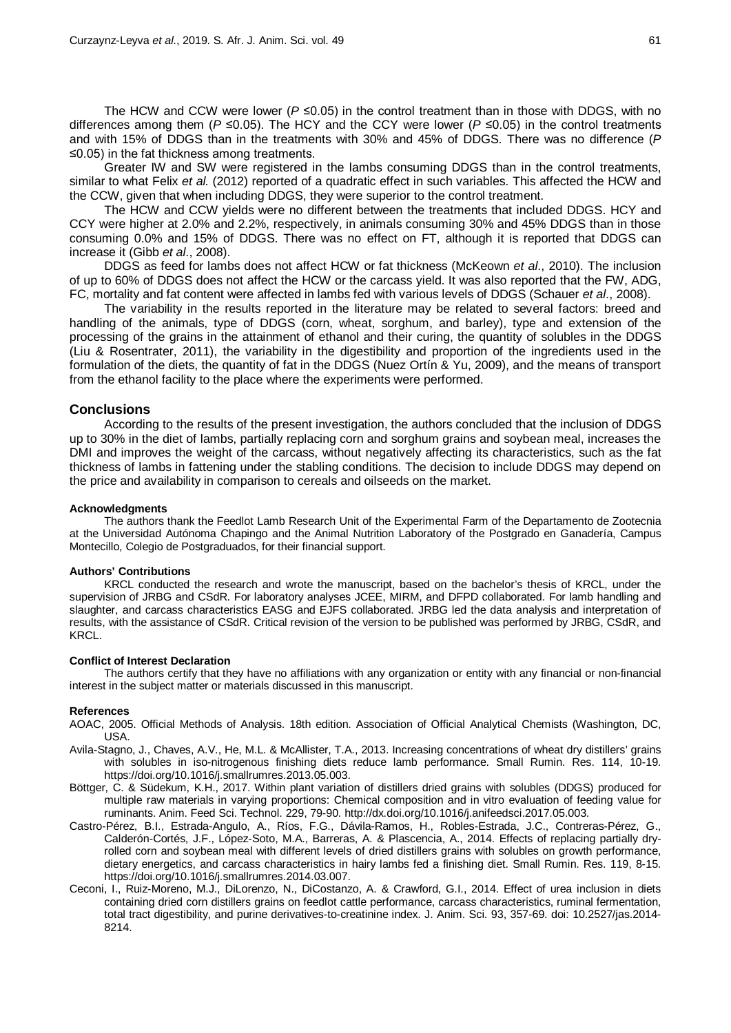The HCW and CCW were lower ( $P \le 0.05$ ) in the control treatment than in those with DDGS, with no differences among them (*P* ≤0.05). The HCY and the CCY were lower (*P* ≤0.05) in the control treatments and with 15% of DDGS than in the treatments with 30% and 45% of DDGS. There was no difference (*P* ≤0.05) in the fat thickness among treatments.

Greater IW and SW were registered in the lambs consuming DDGS than in the control treatments, similar to what Felix *et al.* (2012) reported of a quadratic effect in such variables. This affected the HCW and the CCW, given that when including DDGS, they were superior to the control treatment.

The HCW and CCW yields were no different between the treatments that included DDGS. HCY and CCY were higher at 2.0% and 2.2%, respectively, in animals consuming 30% and 45% DDGS than in those consuming 0.0% and 15% of DDGS. There was no effect on FT, although it is reported that DDGS can increase it (Gibb *et al*., 2008).

DDGS as feed for lambs does not affect HCW or fat thickness (McKeown *et al*., 2010). The inclusion of up to 60% of DDGS does not affect the HCW or the carcass yield. It was also reported that the FW, ADG, FC, mortality and fat content were affected in lambs fed with various levels of DDGS (Schauer *et al*., 2008).

The variability in the results reported in the literature may be related to several factors: breed and handling of the animals, type of DDGS (corn, wheat, sorghum, and barley), type and extension of the processing of the grains in the attainment of ethanol and their curing, the quantity of solubles in the DDGS (Liu & Rosentrater, 2011), the variability in the digestibility and proportion of the ingredients used in the formulation of the diets, the quantity of fat in the DDGS (Nuez Ortín & Yu, 2009), and the means of transport from the ethanol facility to the place where the experiments were performed.

## **Conclusions**

According to the results of the present investigation, the authors concluded that the inclusion of DDGS up to 30% in the diet of lambs, partially replacing corn and sorghum grains and soybean meal, increases the DMI and improves the weight of the carcass, without negatively affecting its characteristics, such as the fat thickness of lambs in fattening under the stabling conditions. The decision to include DDGS may depend on the price and availability in comparison to cereals and oilseeds on the market.

#### **Acknowledgments**

The authors thank the Feedlot Lamb Research Unit of the Experimental Farm of the Departamento de Zootecnia at the Universidad Autónoma Chapingo and the Animal Nutrition Laboratory of the Postgrado en Ganadería, Campus Montecillo, Colegio de Postgraduados, for their financial support.

### **Authors' Contributions**

KRCL conducted the research and wrote the manuscript, based on the bachelor's thesis of KRCL, under the supervision of JRBG and CSdR. For laboratory analyses JCEE, MIRM, and DFPD collaborated. For lamb handling and slaughter, and carcass characteristics EASG and EJFS collaborated. JRBG led the data analysis and interpretation of results, with the assistance of CSdR. Critical revision of the version to be published was performed by JRBG, CSdR, and KRCL.

#### **Conflict of Interest Declaration**

The authors certify that they have no affiliations with any organization or entity with any financial or non-financial interest in the subject matter or materials discussed in this manuscript.

### **References**

AOAC, 2005. Official Methods of Analysis. 18th edition. Association of Official Analytical Chemists (Washington, DC, USA.

- Avila-Stagno, J., Chaves, A.V., He, M.L. & McAllister, T.A., 2013. Increasing concentrations of wheat dry distillers' grains with solubles in iso-nitrogenous finishing diets reduce lamb performance. Small Rumin. Res. 114, 10-19. https://doi.org/10.1016/j.smallrumres.2013.05.003.
- Böttger, C. & Südekum, K.H., 2017. Within plant variation of distillers dried grains with solubles (DDGS) produced for multiple raw materials in varying proportions: Chemical composition and in vitro evaluation of feeding value for ruminants. Anim. Feed Sci. Technol. 229, 79-90. http://dx.doi.org/10.1016/j.anifeedsci.2017.05.003.
- Castro-Pérez, B.I., Estrada-Angulo, A., Ríos, F.G., Dávila-Ramos, H., Robles-Estrada, J.C., Contreras-Pérez, G., Calderón-Cortés, J.F., López-Soto, M.A., Barreras, A. & Plascencia, A., 2014. Effects of replacing partially dryrolled corn and soybean meal with different levels of dried distillers grains with solubles on growth performance, dietary energetics, and carcass characteristics in hairy lambs fed a finishing diet. Small Rumin. Res. 119, 8-15. https://doi.org/10.1016/j.smallrumres.2014.03.007.
- Ceconi, I., Ruiz-Moreno, M.J., DiLorenzo, N., DiCostanzo, A. & Crawford, G.I., 2014. Effect of urea inclusion in diets containing dried corn distillers grains on feedlot cattle performance, carcass characteristics, ruminal fermentation, total tract digestibility, and purine derivatives-to-creatinine index. J. Anim. Sci. 93, 357-69. doi: 10.2527/jas.2014- 8214.